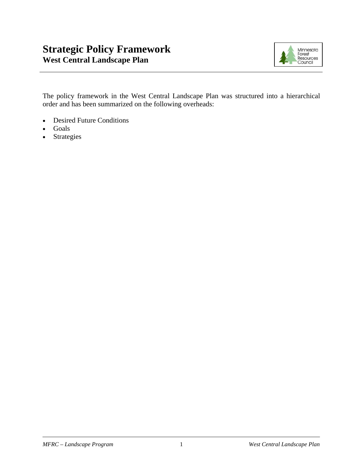# **Strategic Policy Framework West Central Landscape Plan**



The policy framework in the West Central Landscape Plan was structured into a hierarchical order and has been summarized on the following overheads:

- Desired Future Conditions
- Goals
- Strategies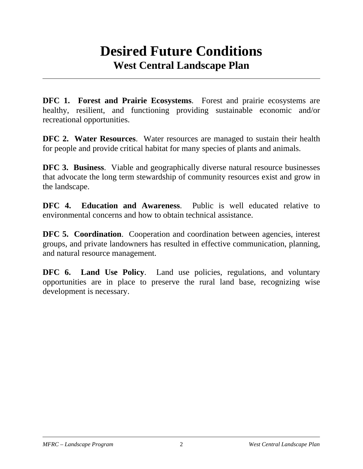# **Desired Future Conditions West Central Landscape Plan**

**DFC 1. Forest and Prairie Ecosystems**. Forest and prairie ecosystems are healthy, resilient, and functioning providing sustainable economic and/or recreational opportunities.

**DFC 2. Water Resources**. Water resources are managed to sustain their health for people and provide critical habitat for many species of plants and animals.

**DFC 3. Business.** Viable and geographically diverse natural resource businesses that advocate the long term stewardship of community resources exist and grow in the landscape.

**DFC 4. Education and Awareness**. Public is well educated relative to environmental concerns and how to obtain technical assistance.

**DFC 5. Coordination.** Cooperation and coordination between agencies, interest groups, and private landowners has resulted in effective communication, planning, and natural resource management.

**DFC 6. Land Use Policy.** Land use policies, regulations, and voluntary opportunities are in place to preserve the rural land base, recognizing wise development is necessary.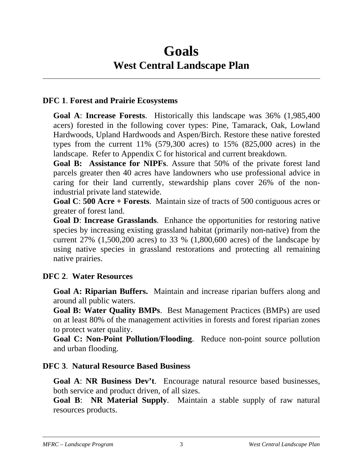# **Goals West Central Landscape Plan**

### **DFC 1**. **Forest and Prairie Ecosystems**

**Goal A**: **Increase Forests**. Historically this landscape was 36% (1,985,400 acers) forested in the following cover types: Pine, Tamarack, Oak, Lowland Hardwoods, Upland Hardwoods and Aspen/Birch. Restore these native forested types from the current  $11\%$  (579,300 acres) to  $15\%$  (825,000 acres) in the landscape. Refer to Appendix C for historical and current breakdown.

**Goal B: Assistance for NIPFs**. Assure that 50% of the private forest land parcels greater then 40 acres have landowners who use professional advice in caring for their land currently, stewardship plans cover 26% of the nonindustrial private land statewide.

**Goal C**: **500 Acre + Forests**. Maintain size of tracts of 500 contiguous acres or greater of forest land.

**Goal D**: **Increase Grasslands**. Enhance the opportunities for restoring native species by increasing existing grassland habitat (primarily non-native) from the current 27% (1,500,200 acres) to 33 % (1,800,600 acres) of the landscape by using native species in grassland restorations and protecting all remaining native prairies.

## **DFC 2**. **Water Resources**

**Goal A: Riparian Buffers.** Maintain and increase riparian buffers along and around all public waters.

**Goal B: Water Quality BMPs**. Best Management Practices (BMPs) are used on at least 80% of the management activities in forests and forest riparian zones to protect water quality.

**Goal C: Non-Point Pollution/Flooding**. Reduce non-point source pollution and urban flooding.

#### **DFC 3**. **Natural Resource Based Business**

**Goal A**: **NR Business Dev't**. Encourage natural resource based businesses, both service and product driven, of all sizes.

**Goal B**: **NR Material Supply**. Maintain a stable supply of raw natural resources products.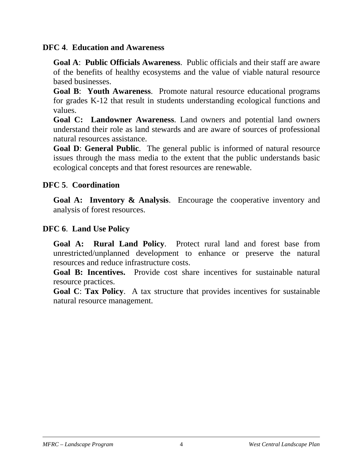#### **DFC 4**. **Education and Awareness**

**Goal A**: **Public Officials Awareness**. Public officials and their staff are aware of the benefits of healthy ecosystems and the value of viable natural resource based businesses.

**Goal B**: **Youth Awareness**. Promote natural resource educational programs for grades K-12 that result in students understanding ecological functions and values.

**Goal C: Landowner Awareness**. Land owners and potential land owners understand their role as land stewards and are aware of sources of professional natural resources assistance.

**Goal D**: **General Public**. The general public is informed of natural resource issues through the mass media to the extent that the public understands basic ecological concepts and that forest resources are renewable.

### **DFC 5**. **Coordination**

**Goal A: Inventory & Analysis**. Encourage the cooperative inventory and analysis of forest resources.

### **DFC 6**. **Land Use Policy**

**Goal A: Rural Land Policy**. Protect rural land and forest base from unrestricted/unplanned development to enhance or preserve the natural resources and reduce infrastructure costs.

**Goal B: Incentives.** Provide cost share incentives for sustainable natural resource practices.

**Goal C**: **Tax Policy**. A tax structure that provides incentives for sustainable natural resource management.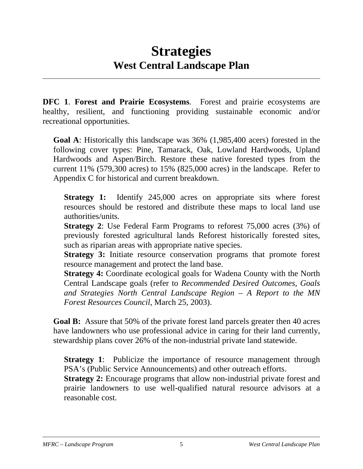# **Strategies West Central Landscape Plan**

**DFC 1**. **Forest and Prairie Ecosystems**. Forest and prairie ecosystems are healthy, resilient, and functioning providing sustainable economic and/or recreational opportunities.

**Goal A**: Historically this landscape was 36% (1,985,400 acers) forested in the following cover types: Pine, Tamarack, Oak, Lowland Hardwoods, Upland Hardwoods and Aspen/Birch. Restore these native forested types from the current 11% (579,300 acres) to 15% (825,000 acres) in the landscape. Refer to Appendix C for historical and current breakdown.

**Strategy 1:** Identify 245,000 acres on appropriate sits where forest resources should be restored and distribute these maps to local land use authorities/units.

**Strategy 2**: Use Federal Farm Programs to reforest 75,000 acres (3%) of previously forested agricultural lands Reforest historically forested sites, such as riparian areas with appropriate native species.

**Strategy 3:** Initiate resource conservation programs that promote forest resource management and protect the land base.

**Strategy 4:** Coordinate ecological goals for Wadena County with the North Central Landscape goals (refer to *Recommended Desired Outcomes, Goals and Strategies North Central Landscape Region – A Report to the MN Forest Resources Council*, March 25, 2003).

**Goal B:** Assure that 50% of the private forest land parcels greater then 40 acres have landowners who use professional advice in caring for their land currently, stewardship plans cover 26% of the non-industrial private land statewide.

**Strategy 1:** Publicize the importance of resource management through PSA's (Public Service Announcements) and other outreach efforts.

**Strategy 2:** Encourage programs that allow non-industrial private forest and prairie landowners to use well-qualified natural resource advisors at a reasonable cost.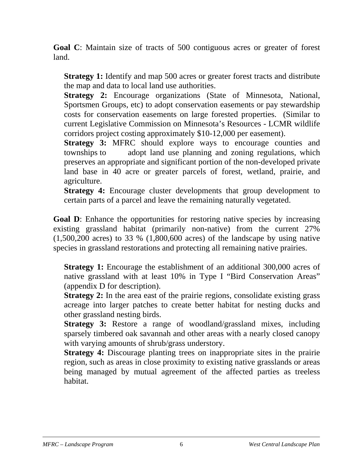**Goal C**: Maintain size of tracts of 500 contiguous acres or greater of forest land.

**Strategy 1:** Identify and map 500 acres or greater forest tracts and distribute the map and data to local land use authorities.

**Strategy 2:** Encourage organizations (State of Minnesota, National, Sportsmen Groups, etc) to adopt conservation easements or pay stewardship costs for conservation easements on large forested properties. (Similar to current Legislative Commission on Minnesota's Resources - LCMR wildlife corridors project costing approximately \$10-12,000 per easement).

**Strategy 3:** MFRC should explore ways to encourage counties and townships to adopt land use planning and zoning regulations, which preserves an appropriate and significant portion of the non-developed private land base in 40 acre or greater parcels of forest, wetland, prairie, and agriculture.

**Strategy 4:** Encourage cluster developments that group development to certain parts of a parcel and leave the remaining naturally vegetated.

**Goal D:** Enhance the opportunities for restoring native species by increasing existing grassland habitat (primarily non-native) from the current 27%  $(1,500,200$  acres) to 33 %  $(1,800,600$  acres) of the landscape by using native species in grassland restorations and protecting all remaining native prairies.

**Strategy 1:** Encourage the establishment of an additional 300,000 acres of native grassland with at least 10% in Type I "Bird Conservation Areas" (appendix D for description).

**Strategy 2:** In the area east of the prairie regions, consolidate existing grass acreage into larger patches to create better habitat for nesting ducks and other grassland nesting birds.

**Strategy 3:** Restore a range of woodland/grassland mixes, including sparsely timbered oak savannah and other areas with a nearly closed canopy with varying amounts of shrub/grass understory.

**Strategy 4:** Discourage planting trees on inappropriate sites in the prairie region, such as areas in close proximity to existing native grasslands or areas being managed by mutual agreement of the affected parties as treeless habitat.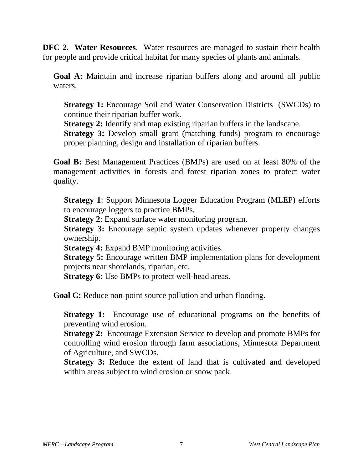**DFC 2**. **Water Resources**. Water resources are managed to sustain their health for people and provide critical habitat for many species of plants and animals.

**Goal A:** Maintain and increase riparian buffers along and around all public waters.

**Strategy 1:** Encourage Soil and Water Conservation Districts (SWCDs) to continue their riparian buffer work.

**Strategy 2:** Identify and map existing riparian buffers in the landscape.

**Strategy 3:** Develop small grant (matching funds) program to encourage proper planning, design and installation of riparian buffers.

**Goal B:** Best Management Practices (BMPs) are used on at least 80% of the management activities in forests and forest riparian zones to protect water quality.

**Strategy 1**: Support Minnesota Logger Education Program (MLEP) efforts to encourage loggers to practice BMPs.

**Strategy 2:** Expand surface water monitoring program.

**Strategy 3:** Encourage septic system updates whenever property changes ownership.

**Strategy 4:** Expand BMP monitoring activities.

**Strategy 5:** Encourage written BMP implementation plans for development projects near shorelands, riparian, etc.

**Strategy 6:** Use BMPs to protect well-head areas.

**Goal C:** Reduce non-point source pollution and urban flooding.

**Strategy 1:** Encourage use of educational programs on the benefits of preventing wind erosion.

**Strategy 2:** Encourage Extension Service to develop and promote BMPs for controlling wind erosion through farm associations, Minnesota Department of Agriculture, and SWCDs.

**Strategy 3:** Reduce the extent of land that is cultivated and developed within areas subject to wind erosion or snow pack.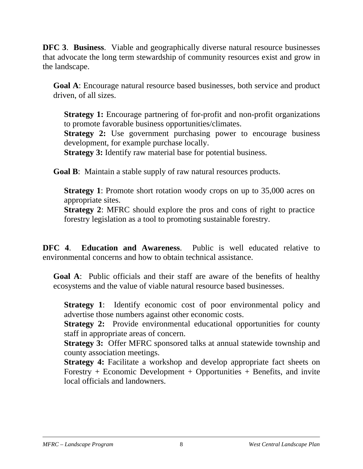**DFC 3**. **Business**. Viable and geographically diverse natural resource businesses that advocate the long term stewardship of community resources exist and grow in the landscape.

**Goal A**: Encourage natural resource based businesses, both service and product driven, of all sizes.

**Strategy 1:** Encourage partnering of for-profit and non-profit organizations to promote favorable business opportunities/climates.

**Strategy 2:** Use government purchasing power to encourage business development, for example purchase locally.

**Strategy 3:** Identify raw material base for potential business.

**Goal B**: Maintain a stable supply of raw natural resources products.

**Strategy 1**: Promote short rotation woody crops on up to 35,000 acres on appropriate sites.

**Strategy 2**: MFRC should explore the pros and cons of right to practice forestry legislation as a tool to promoting sustainable forestry.

**DFC 4**. **Education and Awareness**. Public is well educated relative to environmental concerns and how to obtain technical assistance.

**Goal A**: Public officials and their staff are aware of the benefits of healthy ecosystems and the value of viable natural resource based businesses.

**Strategy 1:** Identify economic cost of poor environmental policy and advertise those numbers against other economic costs.

**Strategy 2:** Provide environmental educational opportunities for county staff in appropriate areas of concern.

**Strategy 3:** Offer MFRC sponsored talks at annual statewide township and county association meetings.

**Strategy 4:** Facilitate a workshop and develop appropriate fact sheets on Forestry  $+$  Economic Development  $+$  Opportunities  $+$  Benefits, and invite local officials and landowners.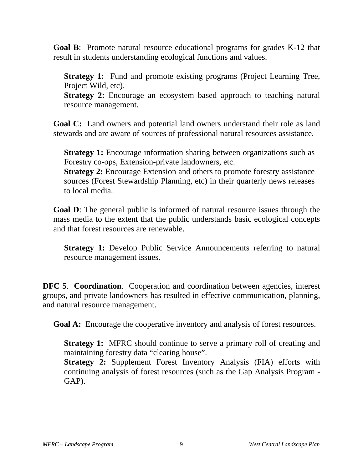**Goal B**: Promote natural resource educational programs for grades K-12 that result in students understanding ecological functions and values.

**Strategy 1:** Fund and promote existing programs (Project Learning Tree, Project Wild, etc).

**Strategy 2:** Encourage an ecosystem based approach to teaching natural resource management.

**Goal C:** Land owners and potential land owners understand their role as land stewards and are aware of sources of professional natural resources assistance.

**Strategy 1:** Encourage information sharing between organizations such as Forestry co-ops, Extension-private landowners, etc.

**Strategy 2:** Encourage Extension and others to promote forestry assistance sources (Forest Stewardship Planning, etc) in their quarterly news releases to local media.

**Goal D**: The general public is informed of natural resource issues through the mass media to the extent that the public understands basic ecological concepts and that forest resources are renewable.

**Strategy 1:** Develop Public Service Announcements referring to natural resource management issues.

**DFC 5**. **Coordination**. Cooperation and coordination between agencies, interest groups, and private landowners has resulted in effective communication, planning, and natural resource management.

**Goal A:** Encourage the cooperative inventory and analysis of forest resources.

**Strategy 1:** MFRC should continue to serve a primary roll of creating and maintaining forestry data "clearing house".

**Strategy 2:** Supplement Forest Inventory Analysis (FIA) efforts with continuing analysis of forest resources (such as the Gap Analysis Program - GAP).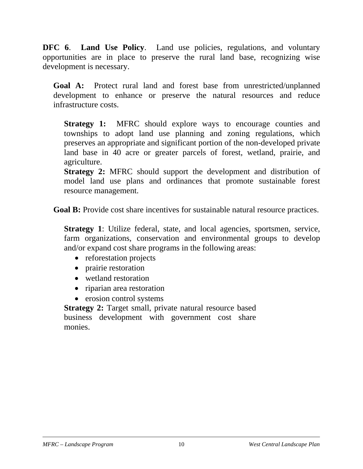**DFC 6. Land Use Policy.** Land use policies, regulations, and voluntary opportunities are in place to preserve the rural land base, recognizing wise development is necessary.

**Goal A:** Protect rural land and forest base from unrestricted/unplanned development to enhance or preserve the natural resources and reduce infrastructure costs.

**Strategy 1:** MFRC should explore ways to encourage counties and townships to adopt land use planning and zoning regulations, which preserves an appropriate and significant portion of the non-developed private land base in 40 acre or greater parcels of forest, wetland, prairie, and agriculture.

**Strategy 2:** MFRC should support the development and distribution of model land use plans and ordinances that promote sustainable forest resource management.

**Goal B:** Provide cost share incentives for sustainable natural resource practices.

**Strategy 1**: Utilize federal, state, and local agencies, sportsmen, service, farm organizations, conservation and environmental groups to develop and/or expand cost share programs in the following areas:

- reforestation projects
- prairie restoration
- wetland restoration
- riparian area restoration
- erosion control systems

**Strategy 2:** Target small, private natural resource based business development with government cost share monies.